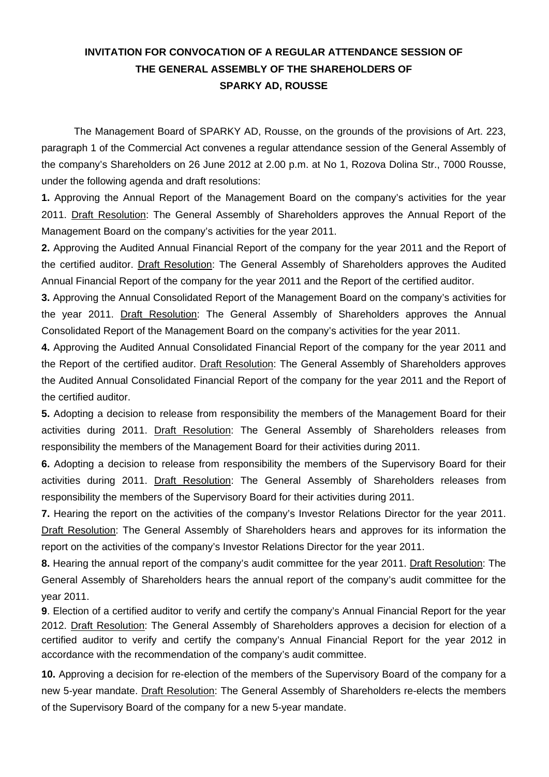## **INVITATION FOR CONVOCATION OF A REGULAR ATTENDANCE SESSION OF THE GENERAL ASSEMBLY OF THE SHAREHOLDERS OF SPARKY AD, ROUSSE**

The Management Board of SPARKY AD, Rousse, on the grounds of the provisions of Art. 223, paragraph 1 of the Commercial Act convenes a regular attendance session of the General Assembly of the company's Shareholders on 26 June 2012 at 2.00 p.m. at No 1, Rozova Dolina Str., 7000 Rousse, under the following agenda and draft resolutions:

**1.** Approving the Annual Report of the Management Board on the company's activities for the year 2011. Draft Resolution: The General Assembly of Shareholders approves the Annual Report of the Management Board on the company's activities for the year 2011.

**2.** Approving the Audited Annual Financial Report of the company for the year 2011 and the Report of the certified auditor. Draft Resolution: The General Assembly of Shareholders approves the Audited Annual Financial Report of the company for the year 2011 and the Report of the certified auditor.

**3.** Approving the Annual Consolidated Report of the Management Board on the company's activities for the year 2011. Draft Resolution: The General Assembly of Shareholders approves the Annual Consolidated Report of the Management Board on the company's activities for the year 2011.

**4.** Approving the Audited Annual Consolidated Financial Report of the company for the year 2011 and the Report of the certified auditor. Draft Resolution: The General Assembly of Shareholders approves the Audited Annual Consolidated Financial Report of the company for the year 2011 and the Report of the certified auditor.

**5.** Adopting a decision to release from responsibility the members of the Management Board for their activities during 2011. Draft Resolution: The General Assembly of Shareholders releases from responsibility the members of the Management Board for their activities during 2011.

**6.** Adopting a decision to release from responsibility the members of the Supervisory Board for their activities during 2011. Draft Resolution: The General Assembly of Shareholders releases from responsibility the members of the Supervisory Board for their activities during 2011.

**7.** Hearing the report on the activities of the company's Investor Relations Director for the year 2011. Draft Resolution: The General Assembly of Shareholders hears and approves for its information the report on the activities of the company's Investor Relations Director for the year 2011.

**8.** Hearing the annual report of the company's audit committee for the year 2011. Draft Resolution: The General Assembly of Shareholders hears the annual report of the company's audit committee for the year 2011.

**9**. Election of a certified auditor to verify and certify the company's Annual Financial Report for the year 2012. Draft Resolution: The General Assembly of Shareholders approves a decision for election of a certified auditor to verify and certify the company's Annual Financial Report for the year 2012 in accordance with the recommendation of the company's audit committee.

**10.** Approving a decision for re-election of the members of the Supervisory Board of the company for a new 5-year mandate. Draft Resolution: The General Assembly of Shareholders re-elects the members of the Supervisory Board of the company for a new 5-year mandate.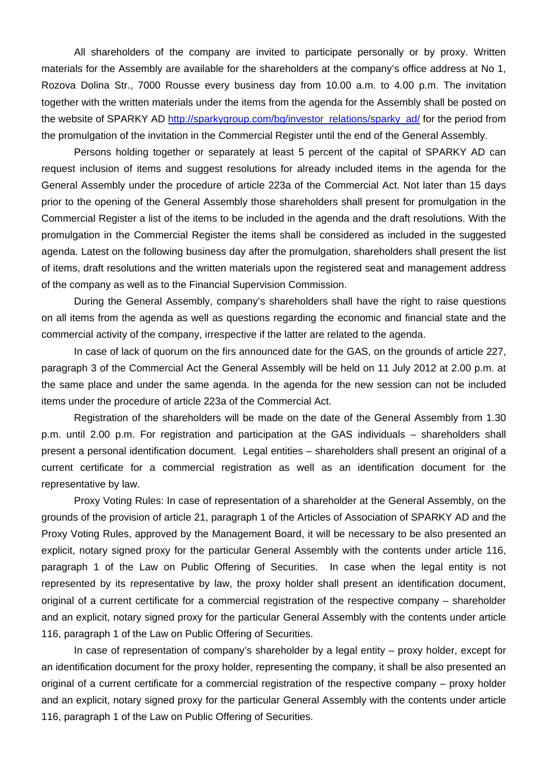All shareholders of the company are invited to participate personally or by proxy. Written materials for the Assembly are available for the shareholders at the company's office address at No 1, Rozova Dolina Str., 7000 Rousse every business day from 10.00 a.m. to 4.00 p.m. The invitation together with the written materials under the items from the agenda for the Assembly shall be posted on the website of SPARKY AD http://sparkygroup.com/bg/investor\_relations/sparky\_ad/ for the period from the promulgation of the invitation in the Commercial Register until the end of the General Assembly.

Persons holding together or separately at least 5 percent of the capital of SPARKY AD can request inclusion of items and suggest resolutions for already included items in the agenda for the General Assembly under the procedure of article 223a of the Commercial Act. Not later than 15 days prior to the opening of the General Assembly those shareholders shall present for promulgation in the Commercial Register a list of the items to be included in the agenda and the draft resolutions. With the promulgation in the Commercial Register the items shall be considered as included in the suggested agenda. Latest on the following business day after the promulgation, shareholders shall present the list of items, draft resolutions and the written materials upon the registered seat and management address of the company as well as to the Financial Supervision Commission.

During the General Assembly, company's shareholders shall have the right to raise questions on all items from the agenda as well as questions regarding the economic and financial state and the commercial activity of the company, irrespective if the latter are related to the agenda.

In case of lack of quorum on the firs announced date for the GAS, on the grounds of article 227, paragraph 3 of the Commercial Act the General Assembly will be held on 11 July 2012 at 2.00 p.m. at the same place and under the same agenda. In the agenda for the new session can not be included items under the procedure of article 223a of the Commercial Act.

Registration of the shareholders will be made on the date of the General Assembly from 1.30 p.m. until 2.00 p.m. For registration and participation at the GAS individuals – shareholders shall present a personal identification document. Legal entities – shareholders shall present an original of a current certificate for a commercial registration as well as an identification document for the representative by law.

Proxy Voting Rules: In case of representation of a shareholder at the General Assembly, on the grounds of the provision of article 21, paragraph 1 of the Articles of Association of SPARKY AD and the Proxy Voting Rules, approved by the Management Board, it will be necessary to be also presented an explicit, notary signed proxy for the particular General Assembly with the contents under article 116, paragraph 1 of the Law on Public Offering of Securities. In case when the legal entity is not represented by its representative by law, the proxy holder shall present an identification document, original of a current certificate for a commercial registration of the respective company – shareholder and an explicit, notary signed proxy for the particular General Assembly with the contents under article 116, paragraph 1 of the Law on Public Offering of Securities.

In case of representation of company's shareholder by a legal entity – proxy holder, except for an identification document for the proxy holder, representing the company, it shall be also presented an original of a current certificate for a commercial registration of the respective company – proxy holder and an explicit, notary signed proxy for the particular General Assembly with the contents under article 116, paragraph 1 of the Law on Public Offering of Securities.